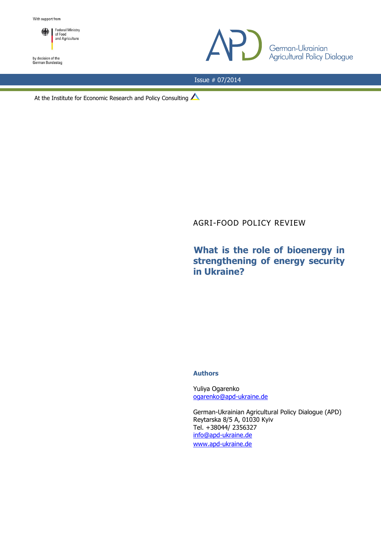

by decision of the<br>German Bundestag



Issue # 07/2014

At the Institute for Economic Research and Policy Consulting  $\triangle$ 

# AGRI-FOOD POLICY REVIEW

# **What is the role of bioenergy in strengthening of energy security in Ukraine?**

# **Authors**

Yuliya Ogarenko [ogarenko@apd-ukraine.de](mailto:ogarenko@apd-ukraine.de)

German-Ukrainian Agricultural Policy Dialogue (APD) Reytarska 8/5 A, 01030 Kyiv Tel. +38044/ 2356327 [info@apd-ukraine.de](mailto:info@apd-ukraine.de) [www.apd-ukraine.de](http://www.apd-ukraine.de/)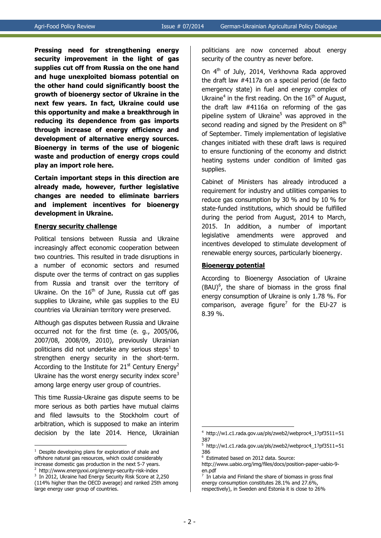**Pressing need for strengthening energy security improvement in the light of gas supplies cut off from Russia on the one hand and huge unexploited biomass potential on the other hand could significantly boost the growth of bioenergy sector of Ukraine in the next few years. In fact, Ukraine could use this opportunity and make a breakthrough in reducing its dependence from gas imports through increase of energy efficiency and development of alternative energy sources. Bioenergy in terms of the use of biogenic waste and production of energy crops could play an import role here.**

**Certain important steps in this direction are already made, however, further legislative changes are needed to eliminate barriers and implement incentives for bioenergy development in Ukraine.**

#### **Energy security challenge**

Political tensions between Russia and Ukraine increasingly affect economic cooperation between two countries. This resulted in trade disruptions in a number of economic sectors and resumed dispute over the terms of contract on gas supplies from Russia and transit over the territory of Ukraine. On the  $16<sup>th</sup>$  of June, Russia cut off gas supplies to Ukraine, while gas supplies to the EU countries via Ukrainian territory were preserved.

Although gas disputes between Russia and Ukraine occurred not for the first time (e. g., 2005/06, 2007/08, 2008/09, 2010), previously Ukrainian politicians did not undertake any serious steps<sup>1</sup> to strengthen energy security in the short-term. According to the Institute for  $21<sup>st</sup>$  Century Energy<sup>2</sup> Ukraine has the worst energy security index score<sup>3</sup> among large energy user group of countries.

This time Russia-Ukraine gas dispute seems to be more serious as both parties have mutual claims and filed lawsuits to the Stockholm court of arbitration, which is supposed to make an interim decision by the late 2014. Hence, Ukrainian

<u>.</u>

2 http://www.energyxxi.org/energy-security-risk-index politicians are now concerned about energy security of the country as never before.

On 4<sup>th</sup> of July, 2014, Verkhovna Rada approved the draft law #4117а on a special period (de facto emergency state) in fuel and energy complex of Ukraine<sup>4</sup> in the first reading. On the  $16<sup>th</sup>$  of August, the draft law #4116а on reforming of the gas pipeline system of Ukraine<sup>5</sup> was approved in the second reading and signed by the President on  $8<sup>th</sup>$ of September. Timely implementation of legislative changes initiated with these draft laws is required to ensure functioning of the economy and district heating systems under condition of limited gas supplies.

Cabinet of Ministers has already introduced a requirement for industry and utilities companies to reduce gas consumption by 30 % and by 10 % for state-funded institutions, which should be fulfilled during the period from August, 2014 to March, 2015. In addition, a number of important legislative amendments were approved and incentives developed to stimulate development of renewable energy sources, particularly bioenergy.

#### **Bioenergy potential**

According to Bioenergy Association of Ukraine  $(BAU)^6$ , the share of biomass in the gross final energy consumption of Ukraine is only 1.78 %. For comparison, average figure<sup>7</sup> for the EU-27 is 8.39 %.

 $1$  Despite developing plans for exploration of shale and offshore natural gas resources, which could considerably increase domestic gas production in the next 5-7 years.

<sup>3</sup> In 2012, Ukraine had Energy Security Risk Score at 2,250 (114% higher than the OECD average) and ranked 25th among large energy user group of countries.

<sup>4</sup> http://w1.c1.rada.gov.ua/pls/zweb2/webproc4\_1?pf3511=51 387

<sup>5</sup> http://w1.c1.rada.gov.ua/pls/zweb2/webproc4\_1?pf3511=51 386

<sup>6</sup> Estimated based on 2012 data. Source:

[http://www.uabio.org/img/files/docs/position-paper-uabio-9](http://www.uabio.org/img/files/docs/position-paper-uabio-9-en.pdf) [en.pdf](http://www.uabio.org/img/files/docs/position-paper-uabio-9-en.pdf)

<sup>7</sup> In Latvia and Finland the share of biomass in gross final energy consumption constitutes 28.1% and 27.6%, respectively), in Sweden and Estonia it is close to 26%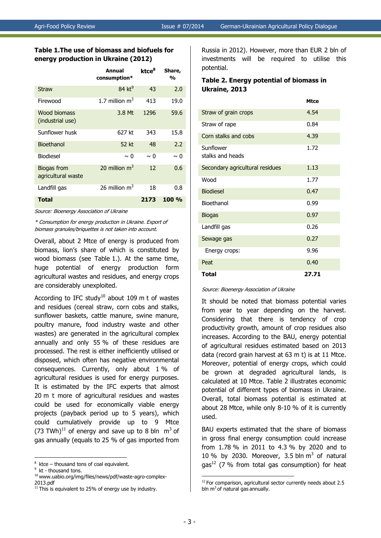### **Table 1.The use of biomass and biofuels for energy production in Ukraine (2012)**

|                                   | Annual<br>consumption* | ktce <sup>8</sup> | Share,<br>$\frac{0}{0}$ |
|-----------------------------------|------------------------|-------------------|-------------------------|
| <b>Straw</b>                      | $84$ kt <sup>9</sup>   | 43                | 2.0                     |
| Firewood                          | 1.7 million $m^3$      | 413               | 19.0                    |
| Wood biomass<br>(industrial use)  | 3.8 Mt                 | 1296              | 59.6                    |
| Sunflower husk                    | 627 kt                 | 343               | 15.8                    |
| <b>Bioethanol</b>                 | 52 kt                  | 48                | 2.2                     |
| <b>Biodiesel</b>                  | $\sim 0$               | ~ ∩               | $\sim 0$                |
| Biogas from<br>agricultural waste | 20 million $m3$        | 12                | 0.6                     |
| Landfill gas                      | 26 million $m3$        | 18                | 0.8                     |
| <b>Total</b>                      |                        | 2173              | 100%                    |

Source: Bioenergy Association of Ukraine

\* Consumption for energy production in Ukraine. Export of biomass granules/briquettes is not taken into account.

Overall, about 2 Mtce of energy is produced from biomass, lion's share of which is constituted by wood biomass (see Table 1.). At the same time, huge potential of energy production form agricultural wastes and residues, and energy crops are considerably unexploited.

According to IFC study<sup>10</sup> about 109 m t of wastes and residues (cereal straw, corn cobs and stalks, sunflower baskets, cattle manure, swine manure, poultry manure, food industry waste and other wastes) are generated in the agricultural complex annually and only 55 % of these residues are processed. The rest is either inefficiently utilised or disposed, which often has negative environmental consequences. Currently, only about 1 % of agricultural residues is used for energy purposes. It is estimated by the IFC experts that almost 20 m t more of agricultural residues and wastes could be used for economically viable energy projects (payback period up to 5 years), which could cumulatively provide up to 9 Mtce (73 TWh)<sup>11</sup> of energy and save up to 8 bln  $m<sup>3</sup>$  of gas annually (equals to 25 % of gas imported from

1

Russia in 2012). However, more than EUR 2 bln of investments will be required to utilise this potential.

# **Table 2. Energy potential of biomass in Ukraine, 2013**

|                                 | <b>Mtce</b> |
|---------------------------------|-------------|
| Straw of grain crops            | 4.54        |
| Straw of rape                   | 0.84        |
| Corn stalks and cobs            | 4.39        |
| Sunflower<br>stalks and heads   | 1.72        |
| Secondary agricultural residues | 1.13        |
| Wood                            | 1.77        |
| <b>Biodiesel</b>                | 0.47        |
| Bioethanol                      | 0.99        |
| <b>Biogas</b>                   | 0.97        |
| Landfill gas                    | 0.26        |
| Sewage gas                      | 0.27        |
| Energy crops:                   | 9.96        |
| Peat                            | 0.40        |
| Total                           | 27.71       |

Source: Bioenergy Association of Ukraine

It should be noted that biomass potential varies from year to year depending on the harvest. Considering that there is tendency of crop productivity growth, amount of crop residues also increases. According to the BAU, energy potential of agricultural residues estimated based on 2013 data (record grain harvest at 63 m t) is at 11 Mtce. Moreover, potential of energy crops, which could be grown at degraded agricultural lands, is calculated at 10 Mtce. Table 2 illustrates economic potential of different types of biomass in Ukraine. Overall, total biomass potential is estimated at about 28 Mtce, while only 8-10 % of it is currently used.

BAU experts estimated that the share of biomass in gross final energy consumption could increase from 1.78 % in 2011 to 4.3 % by 2020 and to 10 % by 2030. Moreover, 3.5 bln  $m<sup>3</sup>$  of natural gas<sup>12</sup> (7 % from total gas consumption) for heat

 $8$  ktce – thousand tons of coal equivalent.

<sup>&</sup>lt;sup>9</sup> kt - thousand tons.

<sup>&</sup>lt;sup>10</sup> www.uabio.org/img/files/news/pdf/waste-agro-complex-2013.pdf

<sup>&</sup>lt;sup>11</sup> This is equivalent to 25% of energy use by industry.

 $12$  For comparison, agricultural sector currently needs about 2.5 bln  $m<sup>3</sup>$  of natural gas annually.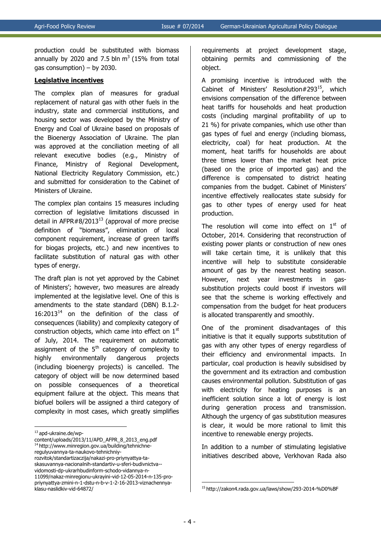production could be substituted with biomass annually by 2020 and 7.5 bln  $m<sup>3</sup>$  (15% from total gas consumption) – by 2030.

#### **Legislative incentives**

The complex plan of measures for gradual replacement of natural gas with other fuels in the industry, state and commercial institutions, and housing sector was developed by the Ministry of Energy and Coal of Ukraine based on proposals of the Bioenergy Association of Ukraine. The plan was approved at the conciliation meeting of all relevant executive bodies (e.g., Ministry of Finance, Ministry of Regional Development, National Electricity Regulatory Commission, etc.) and submitted for consideration to the Cabinet of Ministers of Ukraine.

The complex plan contains 15 measures including correction of legislative limitations discussed in detail in AFPR#8/2013<sup>13</sup> (approval of more precise definition of "biomass", elimination of local component requirement, increase of green tariffs for biogas projects, etc.) and new incentives to facilitate substitution of natural gas with other types of energy.

The draft plan is not yet approved by the Cabinet of Ministers'; however, two measures are already implemented at the legislative level. One of this is amendments to the state standard (DBN) В.1.2-  $16:2013^{14}$  on the definition of the class of consequences (liability) and complexity category of construction objects, which came into effect on  $1<sup>st</sup>$ of July, 2014. The requirement on automatic assignment of the  $5<sup>th</sup>$  category of complexity to highly environmentally dangerous projects (including bioenergy projects) is cancelled. The category of object will be now determined based on possible consequences of a theoretical equipment failure at the object. This means that biofuel boilers will be assigned a third category of complexity in most cases, which greatly simplifies

1

requirements at project development stage, obtaining permits and commissioning of the object.

A promising incentive is introduced with the Cabinet of Ministers' Resolution#293<sup>15</sup>, which envisions compensation of the difference between heat tariffs for households and heat production costs (including marginal profitability of up to 21 %) for private companies, which use other than gas types of fuel and energy (including biomass, electricity, coal) for heat production. At the moment, heat tariffs for households are about three times lower than the market heat price (based on the price of imported gas) and the difference is compensated to district heating companies from the budget. Cabinet of Ministers' incentive effectively reallocates state subsidy for gas to other types of energy used for heat production.

The resolution will come into effect on  $1<sup>st</sup>$  of October, 2014. Considering that reconstruction of existing power plants or construction of new ones will take certain time, it is unlikely that this incentive will help to substitute considerable amount of gas by the nearest heating season. However, next year investments in gassubstitution projects could boost if investors will see that the scheme is working effectively and compensation from the budget for heat producers is allocated transparently and smoothly.

One of the prominent disadvantages of this initiative is that it equally supports substitution of gas with any other types of energy regardless of their efficiency and environmental impacts. In particular, coal production is heavily subsidised by the government and its extraction and combustion causes environmental pollution. Substitution of gas with electricity for heating purposes is an inefficient solution since a lot of energy is lost during generation process and transmission. Although the urgency of gas substitution measures is clear, it would be more rational to limit this incentive to renewable energy projects.

In addition to a number of stimulating legislative initiatives described above, Verkhovan Rada also

<sup>13</sup> apd-ukraine.de/wp-

content/uploads/2013/11/APD\_AFPR\_8\_2013\_eng.pdf <sup>14</sup> http://www.minregion.gov.ua/building/tehnichneregulyuvannya-ta-naukovo-tehnichniyrozvitok/standartizaczija/nakazi-pro-priynyattya-taskasuvannya-nacionalnih-standartiv-u-sferi-budivnictva- vidomosti-dp-ukrarhbudinform-schodo-vidannya-n-11099/nakaz-minregionu-ukrayini-vid-12-05-2014-n-135-propriynyattya-zmini-n-1-dstu-n-b-v-1-2-16-2013-viznachennya-

klasu-naslidkiv-vid-64872/

<sup>15</sup> http://zakon4.rada.gov.ua/laws/show/293-2014-%D0%BF